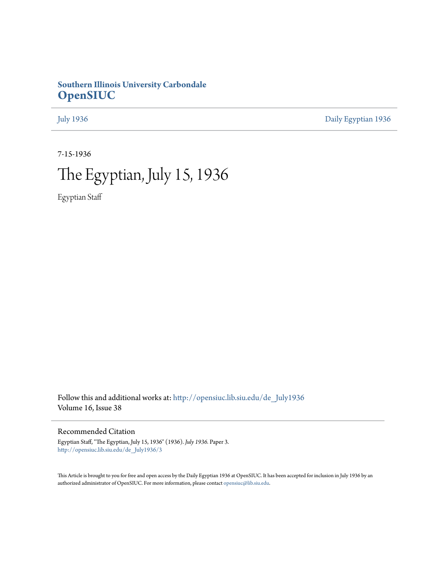### **Southern Illinois University Carbondale [OpenSIUC](http://opensiuc.lib.siu.edu?utm_source=opensiuc.lib.siu.edu%2Fde_July1936%2F3&utm_medium=PDF&utm_campaign=PDFCoverPages)**

[July 1936](http://opensiuc.lib.siu.edu/de_July1936?utm_source=opensiuc.lib.siu.edu%2Fde_July1936%2F3&utm_medium=PDF&utm_campaign=PDFCoverPages) [Daily Egyptian 1936](http://opensiuc.lib.siu.edu/de_1936?utm_source=opensiuc.lib.siu.edu%2Fde_July1936%2F3&utm_medium=PDF&utm_campaign=PDFCoverPages)

7-15-1936

# The Egyptian, July 15, 1936

Egyptian Staff

Follow this and additional works at: [http://opensiuc.lib.siu.edu/de\\_July1936](http://opensiuc.lib.siu.edu/de_July1936?utm_source=opensiuc.lib.siu.edu%2Fde_July1936%2F3&utm_medium=PDF&utm_campaign=PDFCoverPages) Volume 16, Issue 38

#### Recommended Citation

Egyptian Staff, "The Egyptian, July 15, 1936" (1936). *July 1936.* Paper 3. [http://opensiuc.lib.siu.edu/de\\_July1936/3](http://opensiuc.lib.siu.edu/de_July1936/3?utm_source=opensiuc.lib.siu.edu%2Fde_July1936%2F3&utm_medium=PDF&utm_campaign=PDFCoverPages)

This Article is brought to you for free and open access by the Daily Egyptian 1936 at OpenSIUC. It has been accepted for inclusion in July 1936 by an authorized administrator of OpenSIUC. For more information, please contact [opensiuc@lib.siu.edu](mailto:opensiuc@lib.siu.edu).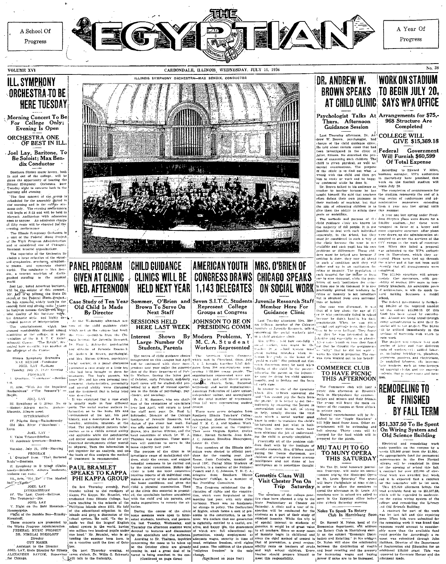

Progress

#### **VOLUME XVI**

### ILL. SYMPHONY ORCHESTRA TO BE **HERE TUESDAY**

Morning Concert To Be<br>For College Only;<br>Evening Is Open

### ORCHESTRA ONE<br>OF BEST IN ILL

### Joel Lay, Baritone, To<br>Be Soloist; Max Bendix Conductor

Southern Illinois music lovers, both Sommer innous mass rowers, counting<br>the and out of the college, will be<br>given the opportunity of hearing the<br>Himons Symphony Orchestra here<br>Tuesday night in concerns both in the<br>morning and evening.

norming and eventure<br> $\tau$ . The first concert of the around is chemical for the assembly period in<br>the morning and is for collage studies<br>the morning and is for collage studies<br>with the morning and is for collage studies.<br>  $evening$  performance

evening performance<br>
(The Hilbert Schulter of the Polen Carolina and a function of the Polen<br>
of the Weyle Percence Administration and a conditional of Chicago's<br>
and its conditional of the University of the special of th .<br>world

word<br>
will be the solution between the steps of the solution<br>
will be the solution of the conduct of the conduct of the step of<br>
recolly of the potential lines Project .<br>
recolly for the potential lines of the step of the  $de -$ 

The entertainment. which has

Haydn.<br>Haydn.

IV. Pilgrim Song-Tschnikowsky<br>Old Man River ("Showboat")

Kern ern:<br>V. Valse Triste—Sibelius.<br>VI. Açademic Overture—Brahms.

Torsday, Jely 21, 1926-Morning

PROGRAM<br>
PROGRAM
PROGRAM
PROGRAM
PROGRAM
PROGRAM
PROGRAM
PROGRAM
PROGRAM
PROGRAM
PROGRAM
PROGRAM
PROGRAM
PROGRAM
PROGRAM
PROGRAM
PROGRAM
PROGRAM
PROGRAM
PROGRAM
PROGRAM
PROGRAM
PROGRAM
PROGRAM
PROGRAM
PROGRAM
PROGRAM
PROGR

II. Symphony In B Mingt (Unfilm PAUL BRAMLET) Hall")-Next The Masked<br>
Hall")-Next The Masked<br>
JOEL LAY

JOEL LAY<br>
1V. The Lost Chord—Sulitvan<br>
1V. The Lost Chord—Sulitvan<br>
The Trumpetic —Dix.<br>
3OEL LAY<br>
V. Night on the Bald Mounta



V. Night on the Batd Mouttain – Phillipine Islands since 1931. He told union.<br>
Nonsequency. The Definiture is the state of the effect of the effect of the effect of the Bathov is the effect of the effect of the effect of tal change in policy. The Declaration change. (Continued on page four)

#### **WORK ON STADIUM** DR. ANDREW W. BROWN SPEAKS TO BEGIN JULY 20. AT CHILD CLINIC SAYS WPA OFFICE

Thurs. Afternoon Guidance Session

Let Thursday afternoon, Dr. At. COLLEGE<br>from W. Brown, psychologist, had COLLEGE<br>that the child guidance clinic. The cold about termin exists that he<br>dependent in the clinic at  $\mathbf{F}$  edges of examining the clinical<br>Jol eas of examining students. The purpose<br>
of the final controllers and the purpose of examinations. The purpose<br>
mental examinations. The purpose<br>
of the othicle is to find out what is<br>
of Total Expense of the distributions

Laugn: Insmart: He finite due tensiers in long series of conferences and ad-<br>neiter defect their own purposes in long series of conferences and ad-<br>their melinods of seaching. but that ministrative management establing<br>th

nothing is done. they may go about 1 such that were toto up through the internal in such a condition antil they will the winter und it tas not been until either end up in an randitudion for executive function (with all ar

crime or lusanity is not hereditar but is obtained from ones surround

this or matter.<br>
One case was discussed: It was<br>
that of a loy about the age of 17<br>
or 18 who continually failed in school Last Tue-day attenuous Mrs. Mar-pheciuse he didn't band-in bis too telling are<br>phecies as the Chicago assumptions. When he was considered in the state<br>initial and applicable tells, they is faithful to the telling of the<br>d because he didn't band-in his dail When he was civneedal and antitude tests, they foun-They four

The Commerce club will hold a<br>piece this afternoon at Biversi below<br>Park in Marphyshore for commerce<br>molors and minors and their friencia<br>The group will beave the main entrance of the campus at three o'clock<br>trance of the Riversi b

### TO MUNY OPERA THIS SATURDAY

Tau Pi, local honorary journal istic fraternity, will make its annual<br>:ummer trip'sin the Municipal Opera

Psychologist Talks At Arrangements for \$75, 968 Structure Are Completed

A Year Of

Progress

**COLLEGE WILL** GIVE \$15,369.18 Government

# Will Furnish \$60,599

gives them the ability to attach their interactions are the same of the same of the same of the same of the same of the same of the same of the same of the same of the same of the same of the same of the same of the same

definition, it will do much to-<br>architecture, it will do much to-<br>ard making Southern a model noon<br>The federal government is furnish-

reactive continuous control of the required amontation of the college \$15,389.18. Of this 6,000 has been raised by contributions. Altimiti are being arged through unty organizations to give their fiancial aid to the project. The \$6,000<br>all be utilized immediately in the<br>archase of materials with which to egin work.

or analysis of the results with the selection of the party of the party of the selection of the selection of the selection of the selection of the selection of the selection of the selection of the selection of the select intents, that is supervisors and fore

## **BE FINISHED BY FALL TERM**

\$51,337.50 To Be Spent Old Science Building

and it is expected that a contract and it is expected that a contraction<br>for the temperature will be interested.<br>This \$25,000 allotment brings the<br>total available fund up to \$51,337,500<br>which will be expended in modernizing<br>in the catice wiring system of th college and remodeling the Library

college and remainding the Library<br>and conditions  $\Lambda$  contract for part of the work<br>was let use that this repairing<br>was let use fall and this repairing<br>done. When bids were admitted for<br>the remaining work it was found th

men. **REMODELING TO** 

On Wiring System and

Electrical and remodeling work<br>
ande possible on the campus by a<br>
ecent \$25,000 grant from the \$1,000,<br>
appropriation fund for permanent sapproximation to the Bive Normal<br>anteroxis in the Bive Normal<br>plicgos will be completed in time<br>for the opening of science of this fall.<br>A contract for over \$23,000 of elec-<br>trical work was awarded last week,

SPEAKS TO KAPPA  $\left[\begin{array}{c|c|c|c|c} \text{(3-1)} & \text{(4-1)} & \text{(4-1)} & \text{(4-1)} & \text{(4-1)} & \text{(4-1)} & \text{(4-1)} & \text{(4-1)} & \text{(4-1)} & \text{(4-1)} & \text{(4-1)} & \text{(4-1)} & \text{(4-1)} & \text{(4-1)} & \text{(4-1)} & \text{(4-1)} & \text{(4-1)} & \text{(4-1)} & \text{(4-1)} & \text{(4-1)} & \text{(4-1$ 

been teaching in the schools of the make

# ON SOCIAL WORK

 $\mathscr{U}$   $\blacktriangle$ 

Member Here For Guidance Clinic

concerning the social works part, in the text symmetric the concerning the social works is at t<sub>run</sub> that be a symmetric that in the same state of the symmetric symmetric symmetric symmetric symmetric process that the con

on the solution is a correct pre-<br>in a correct properties as a part of their schedule of Euckler To Speak To Ready was lett institute the constitution, is as for a<br>letter as a part of their study of  $\frac{1}{2}$  constants ar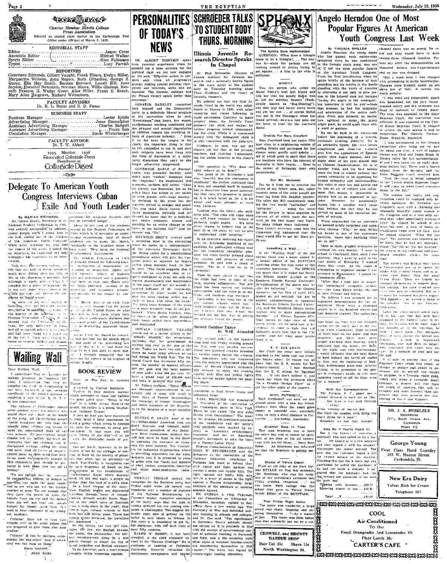

#### EDITORIAL STAFF

...Jasper Cross.<br>Mildred Walker Associate Editor .. . . . . . . . . . **. .** . . . . . . Snorts Editor ..... .......Glen Fulkerson Typist .......Luey Parrish ,,,,,,,,,,,,,,,,,,,,,,,,

#### REPORTERS

Genevieve Edmonds, Gilbert Vaught, Frank Elders, Evelyn Miller, Marguerite Wilhelm, John Rogers, Ruth Ditterlie, George S. Ruth Ditter, George S. Ruth Ditterlie, George S. Ruth Ditterlie, George S. Shpder, Herschel Mill,

### FACULTY ADVISORS<br>Dr. R. L. Beyer and R. D. Faner

**BUSINESS STAFF** Lester Riddle **Business Manager** Business manager<br>Advertising Manager<br>Assistant Advertising Manager<br>Assistant Advertising Manager  $Je<sub>s</sub>$ se Stonecipher Charles Badgett Emile Winterberger.<br>Emile Winterberger Circulation Manager.

FACULTY' ADVISOR<br>Dr. T. W. Abbott

1935 Member 1936<br>Associated Collegiate Press Collegiate Digest

 $\sim 25000$ 

### Delegate To American Youth **Congress Interviews Cuban Exile And Youth Leader**

resion

.<br>Stein

.......<br>Notae

of the A

**By MARIAN RICHARDS** [strations for accodemne freedom and  $\begin{bmatrix} 0 \\ 0 \end{bmatrix}$ .<br>
Mr. Clarkes Murch, Secretary of the precedent duality of the strategies (see also allows eat<br>For National Student PedPreion of Clarkes Altern willingness but cagerness to be inter-The Student Federation of Cabe

reaga<br>Talk dans and percurit belongs ye felt that the title of Schor westil is much more fitting than the title of Mr. to this charming is not true and the space perfect Particle . And the space perfect Particle is solutional like a different determined the and the space of the case of the case of the control of the space of the case

Equipment of the main interactive correspondence of the history of the additions of the Stadent Federation of Equation (Figure 2018)<br>Stadent Federation of Equation (Figure 2018)<br>Stadent Federation of Equation (Figure 2018 and had been Stosed for A years on<br>of the last 5. They were closed by

of studier strikes and demon- he had made at the preceeding ses

**Walling Wall** Such and the speech in its original 1

Dear Wailing Wall: I understand that the making producy in 'southern me<br>mais: I understand that they are<br>planting the coefficial detatorghip in our very backyard, j am speaking

blas; P unicated that they are planetar ( $A = 0.01$  and  $A = 0.01$  and  $A = 0.01$  and  $A = 0.01$  and  $A = 0.01$  and  $A = 0.01$  and  $A = 0.01$  and  $A = 0.01$  and  $A = 0.01$  and  $A = 0.01$  and  $A = 0.01$  and  $A = 0.01$  and  $A = 0.01$  an in our commitmix. The currence of Cattlendale should hench. Its cancer a-n-<br>
on the currence of Cattlendale should hench like currence and the control of the arm<br>
realisation of the same control of the angle of the same control of<br>
one of



ALBERT EINSTRIN anoka 152 BR. ALBERT EINSTEIN spoken he compared when he pointed out a same solution for the political fight we are now ongaged in. He said, "Effective action is positive about the spoken spoken side spin spin spin spin spin spin sp noints and interests, unite and act together. The German collapse and

the French victory speak better than at the convention when he said,<br>"Sweatshops," long hours, low was es,<br>hum poles one working conditions and<br>the physical and mental degreeation<br>of children remain the crowning in-

of children remain the crowning in-<br>famour famour can be contained in the character of the data be that<br>clubes, the important children is that in the following is that,<br>in the following the contract computed to say the maj

-GOVERNOS EARLE of Pennsylvania (COVERNOS ENGLE)<br>
COMERNOS ENGLES (NET INSURE TREATMOND INTO THE SUPPORT IN THE SUPPORT IN THE SUPPORT OF CONDITIONATION (CONDITIONATION)<br>
The subsequence of the state of the state of the s GOVERNOR EARLE of Pennsyl-

our entire economic system and<br>picoding for an entire change in the basis of our national life?" And the HEYWOOD BROUN created quite

sensation inter in the convention when he spoke as a representative<br>of the American Newspaper Guild.<br>Mr Broun called for a constitutional

an endinent which will give the Constitutional<br>grees power to legislate for labor-<br>grees power to legislate for labor-<br>rights along national lines. In part werking toward the following ains destruction of innerialism: rethe case of the contraction of the same of the same of the same of the same of the same of the same of the same of the same of the same of the same of the same of the same of the same of the same of the same of the same of an excellent idea to re quire publishers to print not only the sho are industoned and a guarante-<br>but those in evile may return with  $\frac{1}{2}$ <br>we being punished, opening of the<br>mever-ity and secondary schools,<br>ind meccase to the budget for edit known ghareholders and bondholders in the names itself hot the outside fo the paper itself but the outside fit<br>handed holdings of the responsible<br>proprietar. In other words we feel<br>that the news readure public has a relation<br>field to know who ewns the owner<br>The Guild takes freedom of the press March, bins it an exile from Match, hinself, an exile from<br> $\epsilon$  is very absount that the young<br> $\delta_2$  of the United States de what<br> $\epsilon_{22}$  the United States de what<br> $\epsilon_{22}$  to belp them attain their<br> $\epsilon_{22}$  is particularly maistent that more seriously than do the pub-

When Broun finished, some of these at the press table dropped their notes, stilled their typewriters the young regular of the Putted States and applicated. is in destroying American imper OSWALD GARRISON VILLARD Before I left Mr. March he remark<br>of that the time for the speech which had been cu to 6 and then to three min

**BOOK REVIEW** beland in The Sun, by Anthony

Nillard declares, "These figures"<br>Nillard declares, "These figures obviously unprecedented in our history, and to many will coroll is

these days of Fascist deterministics<br>these days of Fascist determining the warmings of George Washington<br>and other founders of the Republic.<br>as to the dangers of a large standing EUGENE G. GRACE head of the

EUCENE C. GRACE. head of the<br>fit e-billion-dolfar Anterican from and<br>Steel Institute and binnell, multi-<br>multi-anim president of the positic<br>learn Steel Corporation. pleighted binn<br>self last veck to fich to the finite into

ites schools and the control of the bilance in the school and the school and the school and the school and the school and the school and the school and the school and the school and the school and the school and the schoo

**THURS, MORNING** Illinois Juvenile Research Director Speaks

In Chapel Dr. Phul Schroeder, Ditector of Illinois Institute for Juvenile Research, and a nationally known figure<br>In the work spoke to the student layer in the work spoke to the student<br>lody on Taursday morning about<br>Chird Guidance and the result of<br>Juvenile resea Institute for Juvenile Re

THE EGYPTIAN

**TO STUDENT BODY** 

are<br>unsat." SENATOR BARKLEY committed vesile court in the two-lid was establed<br>in the Democratic linear court in the world was establed in the model in<br>mean and the Democratic linear party to a definitely liberal program Be nothired out that the first Jy further progress toward understand-<br>ing the child. While it is concerned

ing the cantal White it is concerned<br>hainly with the delinquent child is<br>is also concerned with the defective<br>Cuidance, he said, was not the<br>clippe's job but that of the parents, teachers, and churches. Understand ing the childs hehavior is the clinic'

....<br>- ''Our guestion is, 'Why does the<br>child behave as he does?' '' The point of Dr. Schroeder's talk

The point of Dr. Schwoeder's talk<br>was "Insenity has it's conception in<br>childhood." He further explicited that<br>it does not manifest itself in insanity<br>but in departure from usual behavior,<br>but that once, it's presence is de easier and more pleasant to work

vita chance...<br>
Tooking mto the future, the authority said. "The time will come when<br>
we will know reasons for failure of<br>perfectly bright pupils..., We have persecur bright pupils. . . We have<br>every reason to believe that in the next 25 or 100 years we will be able<br>to understand child behavior."

In an interview following his chape talk, Dr. Schroeder hesitated to say Anything for publication without time<br>for his rustomary thoughtful pha-<br>tuins, but when further pressed about<br>the success and progress of child<br>suitance. It said with a couple of<br>bunnor, "Far be it from me to be<br>c-ptimisti

.<br>Then he went aloud to say the the clinic had been in surface to any the<br>heat, entirely sellistantory. The pro-<br>aram has been carried out without Install, entirely sellistentery. The proposition and the internal curve of sum and the internal condition and the internal of sum density of the definition and the internal of the internal order is the internal order in t the program before the people

onwhall can be a research of the state. The second but the state of the state of the state of the state of the state of the state of the state of the state of the state of the state of the state of the state of the state

onsultant to Wall Street banks and adustrial firms

BARL BROWDER was nominated Anti-Biston, that was nominated<br>President at the convention of<br>Communist party in New York<br>The he was called "the new John<br>Wi from Osawatomie," The tenor ÷.

nown from Osawatomie," The tener<br>of the slogans, the aceptance speeches<br>of the candidates and the party's<br>1936 platform were marked by ap-1936 platform were marked by approximately state<br>properties in the contract of the state of the state of the state<br>projection in the case of the state of a Parence-Labor Party.<br>Fig. in the state of a Parence-Labor Party.<br>



**EXERCT CONSECRATE CONSECRATE CONSECRATE CONSECRATE CONSECRATE CONSECRATE CONSECRATE CONSECRATE AND ANNOUNCED ARE CONSECRATE AND ANNOUNCED ARE CONSECRATE AND ARREST OF A CONSECRATE CONSECRATE CONSECRATE CONSECRATE AND A C** Dean Lentz's secretary came into the class-room and announced that the Sk eee

#### .<br>wêring a Wail.

A movement of Wallie of the basis<br>
In the "Walling Wallie" of the last<br>
ned by the state simulation of the EGYPTIAN<br>
induction of the EGYPTIAN<br>
inquiries about the true name of this<br>
consenable institution. The SPHINX<br>
Can attempting to organize unions I was<br>arrested in Bigmingham, J joined the<br>Communist Perry,<br> $\sim$  Taiter that J took part in numer<br>ous unemployed struggles, at<br>the ous behavior of the one of the one<br>of North Long Shore strike in'explanation of the above may w offer the following " . . . "the Genera"<br>Assembly, on the 15th of April, 1871 Assembly, on the 15th of April, 1871, 1871, 1871, 1871, and according point commissioners to construct the Southern Hilnich Normal University, and the Southern Hilnich Normal University, and the Southern Hilnich State (Sep erganized demonstration for the un employed. There<br>people in it; six four hundred negroes. The authoritie lege hand, the floor was not

otty nicely. All we need now is fo Second Outdoor Dance (a distribution of the basic that the basic that the basic of the basic of the basic of the basic of the basic of the basic of the basic of the basic of the basic of the basic of the basic of the basic versity, and not what some أمراط الاستراء

if prior tour on the state, and then<br>beparted: and there were increased that the material data the material<br>branchical data the material control of the fight was very discouraging.<br>I would advocate that the next dance E. E. SUE CRAIN<br>Sue Crain has some move initials<br>attached to her name that not everybe held indoors, the torrid air cooler one knows about. Of course you all gne study's about of value, you ...<br>know that the S. S. stands for Su-<br>Student-council . . . I now disclose by fans, and the employing of light lass professional musicians. Activity Among the case of S. standard F. The S. Standard Control C. 1 Town distribute that the E. E. Mond for the weaker plays which the reflection plays with the content plays with the reflection of the chemical control of the o rass processional musicians. Activity<br>icksta, to be presented at the gate<br>are in everyone's hands, so why must<br>putsiders crowd us off the floor, even<br>for a moment?

Wery FOUTHIES!<br>Ruth Stephaned was seen out and<br>around about with a new boy friend<br>Absence down make the heart grow<br>fonder or someone else, especially<br>when its only a short distance to Car-<br>terrille....Aincknday, Alacknday,

most of his dime at his old re yous with his old flame ่หิ An informant has info me that the Brashenr is gotting se

From an old copy of the Park Colege STYLUS we find this sentence Mr. Goodman, who was the recir ent of the orchestra's advances Friday evening, ramarked Friday evening, remarked. . . " As<br>you know. Park college was the<br>school that gave us Vernie Crane,<br>former Editor of the EGYPTIAN.

That Friday Night Dance<br>The music was wonderful, a large<br>orowd was there, laughing and en-<br>joying themselves... "—As a matter . The nusic was little battle of fact. than that ordinarily put out by a col-CROWELL and BRUNTY

**BARBER SHOP** 

Hair Cut 25c Shave 15c

North Washington St.

### **PERSONALITIES SCHROEDER TALKS SPHONX Angelo Herndon One of Most** Popular Figures At American Youth Congress Last Week

Wednesday, July 15, 1936

When approached for an interview interior. It is should be easied if she<br>when approached for an interview interior. It is should be easied in<br>for based military and come is sense at sense at sense at low of blank<br>as a reg

here were a thousand<br>six hundred whites and

except for the early part of the eve-<br>ting when Community High strutted

ir brief hour on the stage, and then<br>departed: and there were more

With Our Contemporaries

a Townsendite got up to speak. He<br>sloke with a nasal twang and m ac cents even flatter than the usual .<br>Trans draw). Then we beheld the<br>Bunsnal phenomena of Angelo Hern ituation in behann na of Angelo Herri<br>Constitution in the cycle criticist for the time ships and he changled But in the<br>Compatible resumed his given happer.<br>This foolish - 1, he waved a hand a<br>the speaker. Thus it has Fasc tehdencies."

Later the conversation again turn<br>ed to his case that has now been<br>specified to the highest count in the and, its decision will be final. Asked the opinion as to the outcome, he sand, "I goult know" The decision<br>have all been against the liberal ten ant. dent know . The declared  $A$  look frightene Sencies - A look of Frightened<br>(archoding that had heen so admit-<br>hly conceated now came into his<br>(3es km a monient he rose and lett<br>)<br>he km .

It is safe to assume that if the supreme Court sends this voi Supprene Court sends this youte, see<br>shorter in stature and grante in de-<br>meanor, but so sinceré and strong<br>meanor, but so sinceré and strong<br>witterb will mean a verturable death<br>witter to protest will rise from<br>the youth

potest that ever greeted the ser



WHY, RUTHIEIII



Brashear Back In Town

That man Brashear was in tow<br>the other day, and of course he spen

**Shades of Vernie Granel** 

That Friday Night Dance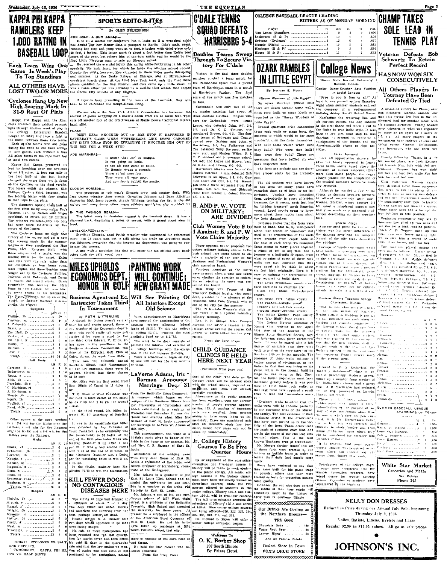| KAPPA PHI KAPPA                                                                            | <b>SPORTS EDITO RITES</b>                                                                                                                                                                                                          |                                                                                 | <b>C'DALE TENNIS</b>                                                             | COLLEGE BASEBALL LEAGUE LEADING                                                                | HITTERS AS OF MONDAY MORNING                                                                                                                                                                                                                                                                             | <b>CHAMP TAKES</b>                                                                                                                                                                                 |
|--------------------------------------------------------------------------------------------|------------------------------------------------------------------------------------------------------------------------------------------------------------------------------------------------------------------------------------|---------------------------------------------------------------------------------|----------------------------------------------------------------------------------|------------------------------------------------------------------------------------------------|----------------------------------------------------------------------------------------------------------------------------------------------------------------------------------------------------------------------------------------------------------------------------------------------------------|----------------------------------------------------------------------------------------------------------------------------------------------------------------------------------------------------|
| RAMBLERS KEEP                                                                              | By GLEN FULKERSON                                                                                                                                                                                                                  |                                                                                 | <b>SQUAD DEFEATS</b>                                                             | Player<br>Van Lente (Ramblers 3                                                                | G<br>AB<br>$\mathbb{R}$<br>H<br>Pct<br>1.000<br>$\overline{2}$                                                                                                                                                                                                                                           | SOLE LEAD                                                                                                                                                                                          |
|                                                                                            | FOR COLE, A BUM ANKLE-<br>It is all a matter for conjecture but it looks as if a wrenched ankle                                                                                                                                    |                                                                                 |                                                                                  | Dickerson (S & P) 3<br>Cravens (Cyclones) 3                                                    | .800<br>10<br>.667                                                                                                                                                                                                                                                                                       |                                                                                                                                                                                                    |
| <b>1.000 RATING IN</b>                                                                     | has denied Dur boy Kenny Cole a passport to Berlin. Cole's main event,<br>running hop step and jump went at 49 feet, 9 inches with third place only                                                                                |                                                                                 | <b>HARRISBRG 5-4</b>                                                             |                                                                                                | .683<br>12<br>.556                                                                                                                                                                                                                                                                                       | TENNIS PLAY                                                                                                                                                                                        |
| <b>BASEBALL LOOP,</b>                                                                      | 48 feet, 4 inches. This latter mark is about a foot better than Cole's best<br>mark of the year, but relieve him of the hum ankle, and he would be the                                                                             |                                                                                 | Doubles Teams Sweep                                                              | House (S & P) ----------------------------4                                                    | .538                                                                                                                                                                                                                                                                                                     | Veteran Defeats Bob                                                                                                                                                                                |
|                                                                                            | first Little Nineteen man to rate an Olympic squad.<br>Each Team Wins One He received the eventual injury this spring while performing in his other                                                                                |                                                                                 | Through To Secure Vic-<br>tory For C'dale                                        |                                                                                                |                                                                                                                                                                                                                                                                                                          | Schwartz To Retain                                                                                                                                                                                 |
| Game In Week's Play                                                                        | specialty, the high jump, for which he holds the all-time school record.<br>Despite the ankle, however, Ken competed in three major meets this spring                                                                              |                                                                                 |                                                                                  | <b>DZARK RAMBLES</b>                                                                           | <b>College News</b>                                                                                                                                                                                                                                                                                      | Perfect Record                                                                                                                                                                                     |
| To Top Standings                                                                           | and summer. At the Drake Kelays, at Chicago, and at Milwaukee-2<br>consistent fourth place. At the final New York meet, only the first three                                                                                       |                                                                                 | Victory in the final three doubles<br>matches cinched a team match for           | <b>IN LITTLE EGYPT</b>                                                                         | Illinois State Normal University                                                                                                                                                                                                                                                                         | <b>HAS NOW WON SIX</b><br>CONSECUTIVELY                                                                                                                                                            |
| <b>ALL OTHERS HAVE</b>                                                                     | places qualified for the Nazi festival, and Cole came up a little short. It<br>was a noble effort but was defeated by a well-founded reason that shears                                                                            |                                                                                 | the Carbondale squad over a picked<br>team of Harrisburg; stars in a match       |                                                                                                | Normal, Hinois<br>Canine Dance-Crasher Sets Fashion                                                                                                                                                                                                                                                      |                                                                                                                                                                                                    |
| <b>LOST TWO OR MORE</b>                                                                    | the Norris City athlete of any disgrace.                                                                                                                                                                                           |                                                                                 | at Harrisburg Sunday. The final<br>score of the match was five matches           | By Norman E. Moore                                                                             | In Social Conduct                                                                                                                                                                                                                                                                                        | All Others Players In<br>Tourney Have Been                                                                                                                                                         |
| Cyclones Hang Up New                                                                       | If injuries keep prevailing in the ranks of the Cardinals, they will<br>have to be re-dubbed the Rough-House Gang.                                                                                                                 |                                                                                 | to four.                                                                         | "Seven Wonders of Litie Egypt"<br>On seven Southern Illinois hills                             | "Free to one is free to all!" At<br>least it was proved so last Saturday<br>night when summer students enjoyed                                                                                                                                                                                           | Defeated Or Tied                                                                                                                                                                                   |
| High Scoring Mark In<br>31-9 Rout Of Pints                                                 | We see where the New York Athletic Commission has increased the                                                                                                                                                                    |                                                                                 | Carbondale won only two of the<br>six singles matches, but swept all             | there are seven archaic stone walls.                                                           | the company of a well-mannered<br>Such rock walls on stony blufts and bull-dog during the All School Dance. Bob Schwartz, Maroon number one                                                                                                                                                              | A smashing victory for Champ over                                                                                                                                                                  |
| Kappa Phi Kappa and the Ram-                                                               | amount of guuze wrapping on a boxer's hands from six to seven feet. That three doubles matches. Singles win-<br>cuts off another foct of the offectiveness of Maxie Baer's traditional injured ners for Carbondale were Bruce      |                                                                                 |                                                                                  | regarded as the "Seven Wonders of'                                                             | Neglecting the receiving line and                                                                                                                                                                                                                                                                        | man this spring, left him in the un-<br>disputed lead for another week with                                                                                                                        |
| pliers retained their perfect percent- hand alibi.<br>ages through another week of play in |                                                                                                                                                                                                                                    |                                                                                 | Logue, who defeated John, 9-7, 2-6,<br>9-7; and Dr. C. D. Tenney, who            | Litle Egypt."                                                                                  | all curious guests, the dog entered<br>Several questions arise concerning in the first dance and stuck it out to<br>the finish in true Malic style. It was                                                                                                                                               | six straight victories. Champ bowled<br>over Schwartz in what was regarded                                                                                                                         |
| the College Intramural Baseball<br>League to make the race a fight to                      | <b>FLASH</b><br>DIZZY DEAN KNOCKED OUT OF BOX STOP IT HAPPENED IN                                                                                                                                                                  |                                                                                 | smothgred Brown, 6-2, 6-3. The dou-                                              | these rock walls or stone forts, the<br>answers to which would be far more                     | hard to see just what step he was<br>dancing; it seemed to resemble a                                                                                                                                                                                                                                    | by many as an upset by a score of<br>7-5, 6-2. All other players in the                                                                                                                            |
| the finish between these two teams.<br>Each of the teams won one game                      | SATURDAY'S GAME WHEN WHITEHEAD'S LINE DRIVE CAROMED ules teens of Schwartz and Tenney<br>OFF DIZZ'S HEAD STOP SO EFFECTIVE IT KNOCKED HIM OUT OF                                                                                   |                                                                                 | bowied over Gaskins and John of<br>Harrisburg, 6-2, 6-4; Fulkerson and           | wonderful than the forts themselves:                                                           | combination of the Rumba and the<br>Who built these walls? When were American with plenty of slips and                                                                                                                                                                                                   | tournament have suffered at least one<br>defeat except Vincent DiGiovanna,                                                                                                                         |
| during the week to run their strings<br>to four games each without a loss.                 | THE BOX FOR A WEEK STOP                                                                                                                                                                                                            |                                                                                 | roon star, and Marion Wiley, S. I.                                               | Cox detented Tony Favreau, ex-Ma- they built? Why were they built? Slides.                     |                                                                                                                                                                                                                                                                                                          | cym instructor, who has been tied<br>twice.                                                                                                                                                        |
| All other teams in the race have lost<br>at loast two games.                               | ADD MARIMBAS-<br>It seems that Joe Di Maggio.<br>is not going so hotio.                                                                                                                                                            |                                                                                 | T. C. student not in summer school,<br>6-3, 6-3; and Logue and Hoover best-      | How were they built? These are<br>questions that have baffled all who                          | Barks Approval<br>Like all appreciative dancers, he                                                                                                                                                                                                                                                      | Closely following Champ, in a tis<br>for second place, are Jack Empson                                                                                                                             |
| Kappn Phi Kappa preserved its<br>lead by knocking over the Cyclones                        | In the All star game of ballio.                                                                                                                                                                                                    |                                                                                 | ed Gram and Brown, 6-3, 6-3.<br>Harrisburg players won four of the               | have inspected them.                                                                           | (gave his hearty upproval in heavy<br>vocal barks, easily heard above the and Everett Fox, both with \$00 per<br>The forts are archaic and are there. applause of human response, Even centures. Empson has won eight                                                                                    |                                                                                                                                                                                                    |
| by an 8-7 score. A four run raily in<br>the last half of the last Inning                   | Di Maggio struck a snaggio.<br>Times at bat were four,<br>They were all very poor.                                                                                                                                                 |                                                                                 | singles matches. Gram defeated Bob<br>Schwartz in an upset, 6-1, 6-0; Gas- gist. |                                                                                                | fore proper study for the archeolo- more than some people, the dogry<br>always waited for the completion of                                                                                                                                                                                              | untehes and lost two, while Fox has<br>won four and lost one                                                                                                                                       |
| changed the score from 7-4 in favor<br>of the Cyclones to the final verdict.               | And now Joe is cubbed the goatio.                                                                                                                                                                                                  |                                                                                 | kins nosed out Cox, 6-4, 7-5; Haeni-<br>gan took a three set match from Ful-     |                                                                                                | The old settlers who have known the musical numbers before he made                                                                                                                                                                                                                                       | Clen Fulkerson, Maroon varsity<br>man, deteated three more opponents                                                                                                                               |
| The losers outhit the winners, 13-9.<br>Phillips, Cyclone third baseman, was               | CLOUDY HORIZON-<br>The prospects of this year's Olympic crew look mighty dark. With                                                                                                                                                |                                                                                 | kerson, 6-0, 5-7, 6-4, and Gidcumb<br>came from behind to defeat Hoover,         | of the forts for many years have any remarks.                                                  | regarded them as of little or no im-   Although he startied a few of the                                                                                                                                                                                                                                 | this week to run his string of vie-                                                                                                                                                                |
| the Jeading luitter with four singles<br>in four trips to the plate.                       | Jess Owens winning these events. Cornelius Johnson and Dave Albritton 4.6, 6.1, 6.1.<br>shattering high jump records, Archie Williams topping the list in the 400                                                                  |                                                                                 |                                                                                  |                                                                                                | portance. Vandals have despoiled suests by daucing between partners.<br>them undoubtedly in quest of hidden he offered surprisingly little inter-                                                                                                                                                        | tories to now as against two defeats<br>and two ries. Fulkerson's record left<br>him immediately above Bob Schwartz,                                                                               |
| The Ramblers upheld them half of<br>the first-place tie by smothering Pat's                | Instance and some dozen other negro athletes qualitying why wouldn't it? B. AND P. W. VOTE                                                                                                                                         |                                                                                 |                                                                                  |                                                                                                | treasure, for it seems, each fort has ference. Besides, weary dancers did<br>its "hidden treasure" myth lingering hot mind a misplaced puppy's paw                                                                                                                                                       | Marcon number one man this spring,<br>whose three wins and a tie and de-                                                                                                                           |
| Flatters, 12-4, as Nelson and Fligor<br>combined to strike out 12 Hatters.                 | IN THE FASHION REALM-<br>The latest mode in faminine apparel is the baseball dress. It has a                                                                                                                                       |                                                                                 | ON MILITARY:<br>ARE DIVIDED the forts themselves.                                |                                                                                                | around. Local people seem to know nearly so much as a mansized clod-<br>more about these myths than about bopper descending on their sensitive<br>toes.                                                                                                                                                  | fear left him in fifth position                                                                                                                                                                    |
| The winners collected only ten hits<br>but were aided materially by five front.            | diamond back, displaying a series of curves, with a grand stand view in                                                                                                                                                            |                                                                                 |                                                                                  | Evidence shows that the forts were                                                             | lanores Stone                                                                                                                                                                                                                                                                                            | Beginning competitive play late. Dr<br>Giovanna has plied up two wins and                                                                                                                          |
| errors of the losers.<br>The Cyclones hung up their first                                  | ZBYSZKOXPZZ-ISTIC-                                                                                                                                                                                                                 |                                                                                 | 1 Against; B. and P. W.                                                          |                                                                                                | Club Women Vote 9 to built by hand, that is, by man-power Auother good point for the animal<br>alone. The stones of "one-man" size   Visitor was his strict adherence to                                                                                                                                 | we design a high ranking position<br>Coach C D Tenney hang up two                                                                                                                                  |
| victory of the season and set a new<br>high scoring mark for the summer                    | Stavilaus Zbyszko, aged Polish wrestler who announced his retirement<br>more than 15 years ago, but is still plying his trade on Argentine mats,                                                                                   |                                                                                 | Vote Claim Majority                                                              |                                                                                                | used in the construction of the walls the dancing area' and his complete<br>were brought from creek beds at ignoral of the offe stags decorating                                                                                                                                                         | more wins over lower ranking play<br>ers to give him a record of eight                                                                                                                             |
| league as they smothered the Half<br>Pints, 31-9. Emerson Hall, with                       | was informed yesterday that the income tax department was going-to con-<br>tiscate his purses.                                                                                                                                     |                                                                                 | Those opposed to the proposed vol-                                               | the base of each scarp. To transport the sidelines                                             | these stones in many places required. Pechaps a female commutation would                                                                                                                                                                                                                                 | vins, three losses, and two ties,<br>The man-hes played during the                                                                                                                                 |
| three singles and a triple, was the<br>leading hitter for the game. Extra                  | A guy with a monicker like that will cause the tax official more head-<br>aches than the \$470 would cure.                                                                                                                         |                                                                                 | high school, last night failed to ob-<br>tain a majority of the vote of the      |                                                                                                | untary military training course in the a climb of 100 to 300 feet, and a liave made the evenings even more<br>journey of a half-mile or more. From enjoyable for our oull-dog-dancer, but                                                                                                                | week are as follows: Mathis defeat<br>of Petersen, 6-3, 6-3. Mathis Hed Dr                                                                                                                         |
| buse hits were the rule rather than                                                        |                                                                                                                                                                                                                                    |                                                                                 | Busitess and Professional Women's<br>club executive board.                       |                                                                                                | what remains of some of these rock on the other hand, his sigle was of-<br>walls one may conclude that they viously case of a solo dancer. Ad-                                                                                                                                                           | Clovanna, 8.6, 3.6, Mathis defeated<br>siken, 6.3, c.5, Mathie tied Cross,                                                                                                                         |
| banged out by the Cyclones. Phillips,                                                      | the exception as four home runs, <b>MILES UPHOLDS</b>                                                                                                                                                                              | <b>IPAINTING WORK</b>                                                           |                                                                                  |                                                                                                | were about six fet thick by about mission cancers may prove a greater<br>Fourteen members of the board six feet high originally. Then it is tooblem for the enthusiastic cases (105 defeated Mornwekt, 6.2, 8.1, Cov                                                                                     | C.2. 4-5. Fex defeated Sinks, 7-5, 6-2,                                                                                                                                                            |
| Cravens, John Dohanich, and Davis<br>all blasted out circuit clouts. Davis                 | <b>ECONOMICS DEPT.</b>                                                                                                                                                                                                             | <b>WILL CONTINUE;</b>                                                           | as to whether the question of endors-<br>ing or rejecting the move was pre-      | ergy required to build them                                                                    | were present when a vote was taken easy to estimate the tremendous on juniess, maybap, he decades to lights of transal interferencies, and all electromation, and all<br>is horde of guests and eggsh the gate                                                                                           | Champ defeated Schwartz, 7-5, 6-2.                                                                                                                                                                 |
| preadwhile was holding the Hall<br>Pints to two singles, but was burt                      | HONOR IN GOLF NEW GRANT MADE                                                                                                                                                                                                       |                                                                                 | sented the board.<br>Miss Ruby Van Trump of the                                  | their locations by countles are-                                                               | The seven prehistoric wonders and Considering the practic of human Diversion defeated Real protovan<br>promes, this would her be entirely                                                                                                                                                                | be told chose. Tenney defeated Ev-                                                                                                                                                                 |
| by seven errors by his teammates.<br>The Puss-bowever, set up on erring                    | Business Agent and Ec. Will See Painting Of                                                                                                                                                                                        |                                                                                 | Teachers' College faculty, vice presi-<br>deut, presided in the absence of the   | county.                                                                                        | Giant City Stone Fort-Jackson without the natural well-bred doc-                                                                                                                                                                                                                                         | (b) 6.5 6.5. Tenner defeated Me<br>trivisks, G.J. Sall, Philberson, defeated                                                                                                                       |
| record, by making lourieen miscues<br>during the rentest.                                  | Instructor Takes Third                                                                                                                                                                                                             | All Interiors Except                                                            | president. Miss Cora Morgan, who is<br>out of the city for the summer.           | Old Stone Fort-Saline county<br>The Pounds-Gallatin county                                     | Eastern Illinois Teachers College<br>Charleston, Illinois                                                                                                                                                                                                                                                | Monawake, C.J., & T., Philkerson, defeat.<br>of this incleaned is a malkerson                                                                                                                      |
| Cyclones<br>$\sim 78.8$ H                                                                  | In Tournament                                                                                                                                                                                                                      | Old Science                                                                     | The Carbondale Woman's club to-<br>day voted 9 to 1 against voluntary            | Draper's Bluff-Union county.<br>Cornish Bluff-Johnson county,                                  | That the date when work will begu-<br>on the construction of Eastern's                                                                                                                                                                                                                                   | sellested Mathis 6.4 6.5. Atken de-<br>Jeaned Evans, 6.2 6.4.                                                                                                                                      |
|                                                                                            | By RUTH DITTERLINE<br>Although Dr. Noien doesn't care to have aproved the continuation of the Rev. C. N. Shappe, Miss. Frances                                                                                                     | WPA administrators in Harrisburg military training.                             |                                                                                  | The indian Kitchen-Pope county.<br>The War Bluff-Pope county.                                  | Health Education Building is not fer . Ranking<br>off was indicated last week when the                                                                                                                                                                                                                   | $W - L$ T                                                                                                                                                                                          |
|                                                                                            | have his golf scores quoted, there is painting project allotting federal Barbour, the intter a teacher at the<br>eve member of the Economics departs funds of \$8.317. To this the college offices, spoke neatust the course. Col. |                                                                                 |                                                                                  |                                                                                                | Wm. Nelson Moyers, historian of building and grounds committed of theory and all property<br>Monad City, writing in the April. the Normal School Board met hers Universe.                                                                                                                                | <b>Contract</b>                                                                                                                                                                                    |
| $Em$ Hall, 2) $\ldots \ldots \ldots \ldots 5$                                              | ment who could really tell some golf is adding \$2.471, bringing the total kobert W. Davis talked for the prop<br>stories if he were a mind to. For available fund up to \$10.788.                                                 |                                                                                 | esition.                                                                         |                                                                                                | 1934 isne of the Journal of the 10 disease plans for the proposed fire and<br>Illinois State Historical Society says structure. The chief single decision Universion                                                                                                                                     |                                                                                                                                                                                                    |
| Ed. Hall. If  0                                                                            | the third time Edward V. Miles, Jr., The work to be done consists of<br>has gone to the semifinals in the painting the interior and exterior of                                                                                    |                                                                                 | From the Free Press                                                              |                                                                                                | the following about these prehistoric, that was reached by the committe, Schwartz-<br>forts: "It may be stated with a fair was that the new building shall be I Giovenna  2 n 2                                                                                                                          | <b>Contract</b>                                                                                                                                                                                    |
|                                                                                            | Southern Amateur Tournament, this all college buildings with the excep- CHILD GUIDANCE<br>2 time at the Egyptian Golf Club at tion of the Old Science Building.                                                                    |                                                                                 |                                                                                  |                                                                                                | degree of certainty that they were decated south of the Practical Arts Tenney and a contract of<br>built later than the very latest of the Building instead of on the west came. Cross "                                                                                                                 |                                                                                                                                                                                                    |
| Half Pinte                                                                                 | 44 31 22 Cairo, during the week June 23-27.<br>This was the fifteenth annual 20 and will call for 184 man months                                                                                                                   | Work is scheduled to begin on July                                              | <b>CLINICS BE HELD</b><br>HERE NEXT YEAR                                         | scuthern Illinois Indian mounds. The<br>presence of these walls indicate a of the present gym. | us hordering Fourth Street                                                                                                                                                                                                                                                                               | $C_0$ $\lambda$ $\ldots$                                                                                                                                                                           |
| AB R H                                                                                     | Southern Bilnois Golf Tournament, of iabor,<br>Of the 150 entrants, there were 96                                                                                                                                                  |                                                                                 | (Continued from page one)                                                        | higher degree of civilization, as the<br>Indian by that time was living on big                 | Headed by D. A. Rothschild, the Honver,                                                                                                                                                                                                                                                                  |                                                                                                                                                                                                    |
| Roots. e 3 1                                                                               | players, divided into three classes LaVerne Adams, Iris<br>of 32 each.                                                                                                                                                             |                                                                                 | duct of the clinic. The data on the                                              | game, while in the mound building                                                              | 'mentally unbalanced' class of ab Petersen  2 2                                                                                                                                                                                                                                                          |                                                                                                                                                                                                    |
|                                                                                            | Mr. Miles won his first round from<br>Sam Gilpin of Carmi in 18 holes. 1:                                                                                                                                                          | Barman Announce<br>Marriage Dec. 31                                             | October cases will be secured soon.<br>with the school survey, physical ex-      |                                                                                                |                                                                                                                                                                                                                                                                                                          |                                                                                                                                                                                                    |
| $C$ . Harbison, ef 3 0                                                                     | up<br>T. O. Sloan of West Frankfort was From the Belleville News-Democrat:                                                                                                                                                         |                                                                                 | amontion, and home visit elready<br>partially completed.                         | army of men and tremendous ener- Hinois, last week.                                            |                                                                                                                                                                                                                                                                                                          |                                                                                                                                                                                                    |
| Morris, 2b 1                                                                               | the next to taste defect at Mr. Miles'<br>hands 2 up and 1 to go, the second campus of the Southern Illinois Nor-                                                                                                                  | A romence which began on the                                                    | Attendance at the public sessions<br>has been excellent, with the average        | <b>AS</b>                                                                                      | There as the Plumas colony for                                                                                                                                                                                                                                                                           | When we define $\mathcal{A}_{\mathcal{A}}$ , $\mathcal{A}_{\mathcal{A}}$ , $\mathcal{A}_{\mathcal{A}}$ , $\mathcal{A}_{\mathcal{A}}$ , $\mathcal{B}_{\mathcal{A}}$ and $\mathcal{B}_{\mathcal{A}}$ |
| Reed. rf-2h 0 2                                                                            | round.                                                                                                                                                                                                                             | mal University at Carbondale and<br>which culminated in a wedding at            | number of people present approxi-<br>mating 175. A number of telephone,          |                                                                                                | "Evidence tends to show that the perisemmund that gamed a horter<br>walls were built by Indians, probably understanding of the purpose of so (SUMMER BASEBALL LEAGUE                                                                                                                                     |                                                                                                                                                                                                    |
|                                                                                            | Is the third round, Mr. Miles de<br>teated W. H. Atterbury of Fairfield Waterloo last December 31, was dis-                                                                                                                        | closed last evening when Miss Iris                                              | calls were received, from persons<br>asking to have cases taken up im-           |                                                                                                | by the Cherokee tribe of the Musko citory of state mistatutions other than<br>see family. The best evidence of their the one in which they are now con-                                                                                                                                                  | STANDINGS OF TEAMS                                                                                                                                                                                 |
| Other names of the week resulted<br>in a 13-1 win for the Hicks over the                   | It was in the semifinals that Miles                                                                                                                                                                                                | Barman of East St. Louis announced<br>her marriage to LaYern W. Adams of        | mediately. Cases are considered only<br>after an intensive study has been        |                                                                                                | Muskogee origin is the arrowheads inned. It is Mr. MucGregor's belief.<br>that have been picked up in the vic- that such a trip will monvate his Boundary and a control of the such a trip will monvate his Boundary and a control of a control of the such a trip will monvate his Boundary and a contr | W. L. Per                                                                                                                                                                                          |
| Hatters, a 4-3 win for the Rangers<br>over the Hicks, and a 9-S win for the                | was defeated by Jay Draksler of<br>West Frankfort, (who eventually won                                                                                                                                                             | this city.<br>The announcement was made at a                                    | made, honce new cases can not be<br>taken up immediately.                        |                                                                                                | inity of the forts. These arrowheads students to study harder and thus Kappa  14 0 1.00°<br>are made of southern gray flint, and insure graduation upon which they home Ster Rangers                                                                                                                     |                                                                                                                                                                                                    |
| Halters over the Rangers.<br>Hicks                                                         | the tournament) in 36 holes. At the<br>end of the first nine holes Miles was                                                                                                                                                       | birthday party given in honor of the<br>bride in the home of her parents, Mr.   | Jr. College History                                                              | serrated edges. This is the well Lincoln's College<br>known Muskogee type of arrowhead."       | are in the shape of the elm loaf with will be considered for entrance into $S$ all $\kappa$ Peppers                                                                                                                                                                                                      | Pat's Hatters 2                                                                                                                                                                                    |
| AB R<br>Smith, cf 3                                                                        | leading Draksler 3 up after a sub<br>par 35. It was a bad second round and Mrs. C. R. Barman of East St.<br>Louis                                                                                                                  |                                                                                 | Courses To Be Five                                                               | of these forts were erected by the                                                             | It is possible that some super littles' communication 2<br>Mr. Moyers further thinks that all heritonic student was permitted to re- Cyclones as assessment and                                                                                                                                          |                                                                                                                                                                                                    |
| Schmelzel, 2b 2<br>Loesebe, $10$ 3                                                         | 1 with 1 up at the end of 18 holes. In<br>the afternoon Draksler was 2 under                                                                                                                                                       | Attendants at the wedding were                                                  | <b>Ouarter</b> Hours                                                             | Indians as buffalo traps in order to<br>secure their daily food supply more                    | mem, which will explain any shirthed Puts<br>sences from classes this week.                                                                                                                                                                                                                              |                                                                                                                                                                                                    |
|                                                                                            | oar for remaining holes to win 3 up.<br>2 to go.                                                                                                                                                                                   | Miss Mary Jane Reese of East St.<br>Louis, a roommate of the bride, and         | By arrangement of the curriculum<br>committee one five-hour course in            | easily<br>Some have ventured to say that                                                       | Non-dancers of the college, eager                                                                                                                                                                                                                                                                        | White Star Market                                                                                                                                                                                  |
|                                                                                            | In the finals, Drakslar best Mc-<br>Allister 71-73 to win the tournament.                                                                                                                                                          | Ernest Brashear of Harrisburg, room-<br>mate of the bridegroom.                 | bistory will be taken by each student<br>in the junior college. All senior col-  | they were built for big game traps<br>or pounds; others that they were                         | to enter more completely into the<br>summer fecreation program, have                                                                                                                                                                                                                                     | Groceries and Meats                                                                                                                                                                                |
| Schleuter, ri-ss $\ldots$ , $\ldots$ , 2 0                                                 | KILL FEWER DOGS;                                                                                                                                                                                                                   | Mrs. Adams is a graduate of the<br>East St. Louis High School and at-           | inge courses in the history depart-<br>ment have been tentatively named as       | erected as forts for protection against<br>some eachy.                                         | voiced desire for regular daucing<br>classes. A mumber of students have                                                                                                                                                                                                                                  | We Deliver<br>Phone 345                                                                                                                                                                            |
| Ragborn, $\mathcal{U} = \{1, 2, \ldots, 3, 0\}$<br>$Totals - 25 = 3$                       | NO CONTAGIOUS                                                                                                                                                                                                                      | tended the university for one year.<br>She is a member of the Delta Phi         | three-hour courses, while the two<br>courses offered to students in the          | However, the one who does unrayed<br>the riddle of their true origin will.                     | volunteered in the reaching                                                                                                                                                                                                                                                                              |                                                                                                                                                                                                    |
| Rangers<br>AB R                                                                            | DISEASES HERE Sorority in East St. Louis.                                                                                                                                                                                          | Mr. Adams. a son of Mr. and Mrs.                                                | junior college, History 105-A and His-<br>tory 110-A. will be five-hour courses. | contribute much to the history of<br>early man in Southern Blincle                             | in and the special state and a second control                                                                                                                                                                                                                                                            |                                                                                                                                                                                                    |
| $f$ Srouch. $c$ 8                                                                          | The killing of dogs had dropped to<br>minimum of shout 7 or 8 day, street, is a graduate of the Belleville                                                                                                                         | George Adams of 1827 West Malu                                                  | The fall term schedule contains sky<br>selections of History 105-A and seven.    |                                                                                                | NELLY DON DRESSES                                                                                                                                                                                                                                                                                        |                                                                                                                                                                                                    |
| Russel, If 3<br>Wright, 3b 3                                                               | The dogs killed are unfed, thirsty Township High School and attended of 110-A. Nine senior college courses,<br>1 and homeless and suffering from the the university for three years. At are being offered-325, 322, 320, 346,      |                                                                                 |                                                                                  | Our Drinks Are Cooling as                                                                      |                                                                                                                                                                                                                                                                                                          | Reduced in Price during our Annual July Sale, beginning                                                                                                                                            |
|                                                                                            | heat, perhaps better off dead.<br>Health Officer S. J. Brewer said of the American Steel Company of                                                                                                                                | present he is employed in the offices <sup>2</sup> 305, 335, 340, 310, and 375. | Dr. Richard L. Beyer will offer a                                                | the Northern Breezes-<br>TRY ONE                                                               | Thursday July 9, 1936                                                                                                                                                                                                                                                                                    | Voiles. Batiste, Linens. Eyelets and Laces                                                                                                                                                         |
| Casey, rf 3                                                                                | two dogs which appeared to be mad East St. Louis. He and his bride senior college extension course,<br>were being cought.                                                                                                          | have taken up residence at 1501                                                 |                                                                                  | Chocolate Soda<br>15c                                                                          |                                                                                                                                                                                                                                                                                                          | Regular \$2.98 to \$10.95 values. All go at sale prices.                                                                                                                                           |
| Trovillion, p 2                                                                            | He said no more hydroprobia had<br>been reported and the last quaran-                                                                                                                                                              | North Fortieth street, that city.                                               | Welcome To                                                                       | Fuzzy Root Beer<br><b></b>                                                                     |                                                                                                                                                                                                                                                                                                          |                                                                                                                                                                                                    |
|                                                                                            | time for scarlet fever had been lifted, there is running at the ears, nose or<br>TODAY: CYCLONES VS. SALT He said 28 days is the quarantine bad throat.                                                                            |                                                                                 | O. K. Barber Shop                                                                | And All Popular Drinks                                                                         |                                                                                                                                                                                                                                                                                                          |                                                                                                                                                                                                    |

TOMAT: CYCLONES VS. SALT [See said 35 days is the quarantine [stat duck the last call the last paint of the AMD PEPPERS.<br>AND PEPPERS.<br>TOMORROW: KAPPA PEH EQ. [10s of scales and this state is not blened yesterday.<br>TPA VS. H

207 South Illinois<br>By Prince Hotel

8 Coolest Store in Town 8